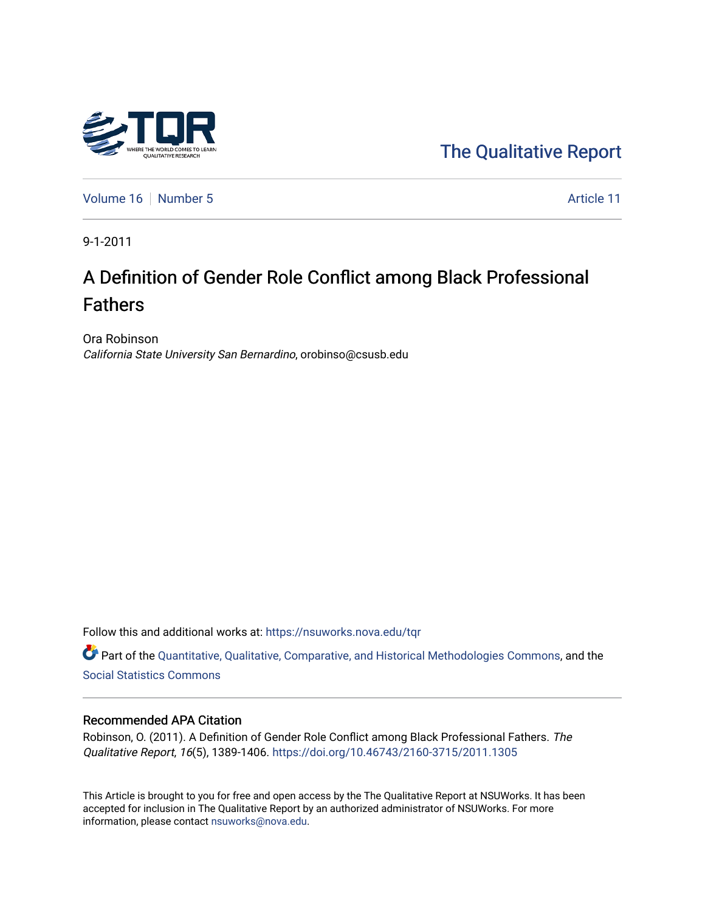

[The Qualitative Report](https://nsuworks.nova.edu/tqr) 

[Volume 16](https://nsuworks.nova.edu/tqr/vol16) [Number 5](https://nsuworks.nova.edu/tqr/vol16/iss5) Article 11

9-1-2011

# A Definition of Gender Role Conflict among Black Professional Fathers

Ora Robinson California State University San Bernardino, orobinso@csusb.edu

Follow this and additional works at: [https://nsuworks.nova.edu/tqr](https://nsuworks.nova.edu/tqr?utm_source=nsuworks.nova.edu%2Ftqr%2Fvol16%2Fiss5%2F11&utm_medium=PDF&utm_campaign=PDFCoverPages) 

Part of the [Quantitative, Qualitative, Comparative, and Historical Methodologies Commons,](http://network.bepress.com/hgg/discipline/423?utm_source=nsuworks.nova.edu%2Ftqr%2Fvol16%2Fiss5%2F11&utm_medium=PDF&utm_campaign=PDFCoverPages) and the [Social Statistics Commons](http://network.bepress.com/hgg/discipline/1275?utm_source=nsuworks.nova.edu%2Ftqr%2Fvol16%2Fiss5%2F11&utm_medium=PDF&utm_campaign=PDFCoverPages) 

### Recommended APA Citation

Robinson, O. (2011). A Definition of Gender Role Conflict among Black Professional Fathers. The Qualitative Report, 16(5), 1389-1406. <https://doi.org/10.46743/2160-3715/2011.1305>

This Article is brought to you for free and open access by the The Qualitative Report at NSUWorks. It has been accepted for inclusion in The Qualitative Report by an authorized administrator of NSUWorks. For more information, please contact [nsuworks@nova.edu.](mailto:nsuworks@nova.edu)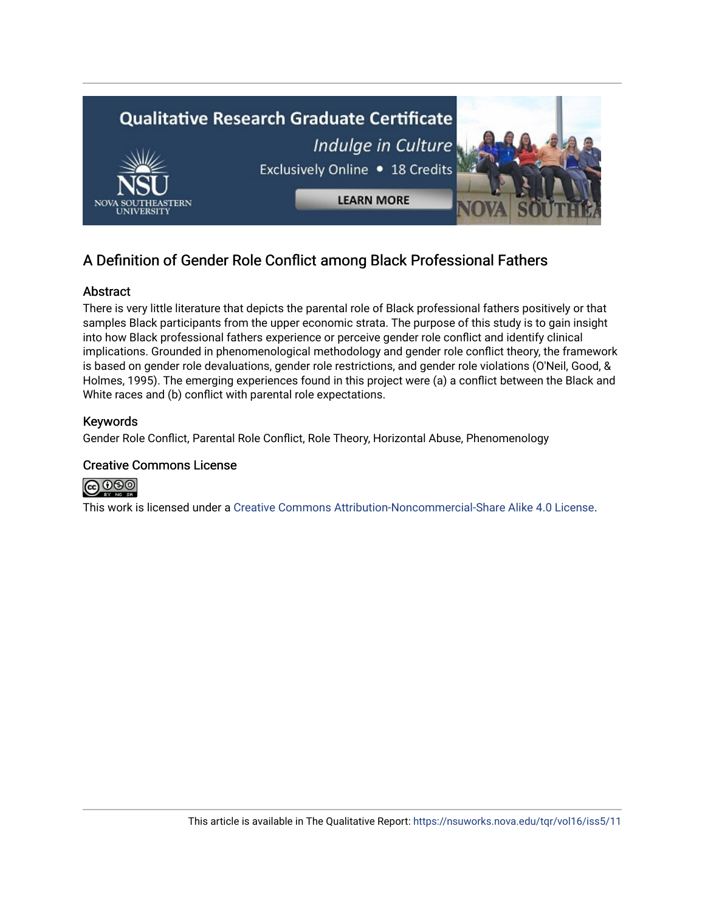

## A Definition of Gender Role Conflict among Black Professional Fathers

## Abstract

There is very little literature that depicts the parental role of Black professional fathers positively or that samples Black participants from the upper economic strata. The purpose of this study is to gain insight into how Black professional fathers experience or perceive gender role conflict and identify clinical implications. Grounded in phenomenological methodology and gender role conflict theory, the framework is based on gender role devaluations, gender role restrictions, and gender role violations (O'Neil, Good, & Holmes, 1995). The emerging experiences found in this project were (a) a conflict between the Black and White races and (b) conflict with parental role expectations.

## Keywords

Gender Role Conflict, Parental Role Conflict, Role Theory, Horizontal Abuse, Phenomenology

## Creative Commons License



This work is licensed under a [Creative Commons Attribution-Noncommercial-Share Alike 4.0 License](https://creativecommons.org/licenses/by-nc-sa/4.0/).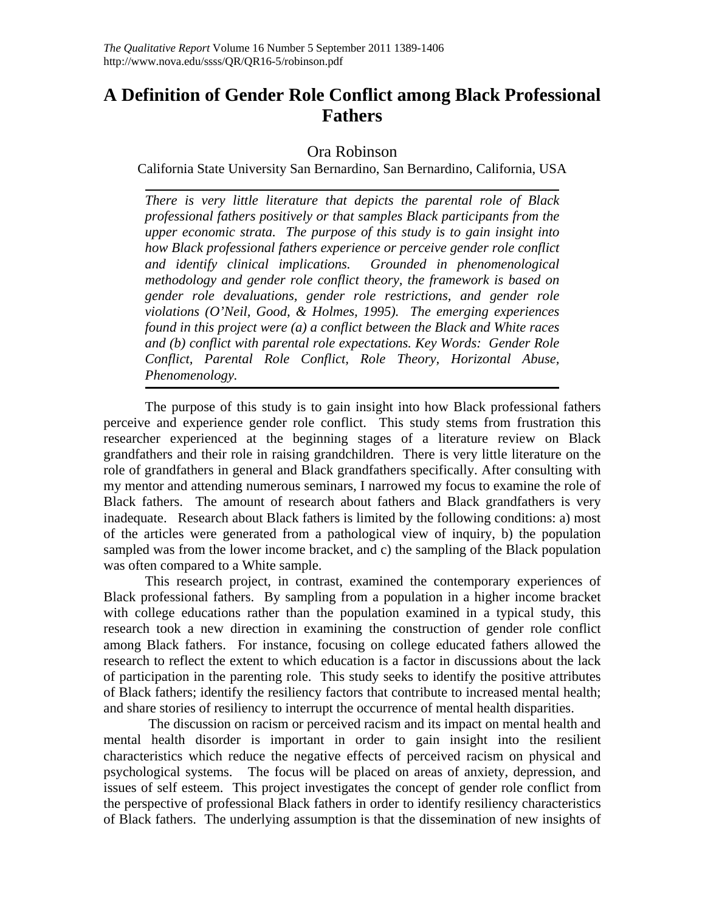## **A Definition of Gender Role Conflict among Black Professional Fathers**

## Ora Robinson

California State University San Bernardino, San Bernardino, California, USA

*There is very little literature that depicts the parental role of Black professional fathers positively or that samples Black participants from the upper economic strata. The purpose of this study is to gain insight into how Black professional fathers experience or perceive gender role conflict and identify clinical implications. Grounded in phenomenological methodology and gender role conflict theory, the framework is based on gender role devaluations, gender role restrictions, and gender role violations (O'Neil, Good, & Holmes, 1995). The emerging experiences found in this project were (a) a conflict between the Black and White races and (b) conflict with parental role expectations. Key Words: Gender Role Conflict, Parental Role Conflict, Role Theory, Horizontal Abuse, Phenomenology.* 

The purpose of this study is to gain insight into how Black professional fathers perceive and experience gender role conflict. This study stems from frustration this researcher experienced at the beginning stages of a literature review on Black grandfathers and their role in raising grandchildren. There is very little literature on the role of grandfathers in general and Black grandfathers specifically. After consulting with my mentor and attending numerous seminars, I narrowed my focus to examine the role of Black fathers. The amount of research about fathers and Black grandfathers is very inadequate. Research about Black fathers is limited by the following conditions: a) most of the articles were generated from a pathological view of inquiry, b) the population sampled was from the lower income bracket, and c) the sampling of the Black population was often compared to a White sample.

This research project, in contrast, examined the contemporary experiences of Black professional fathers. By sampling from a population in a higher income bracket with college educations rather than the population examined in a typical study, this research took a new direction in examining the construction of gender role conflict among Black fathers. For instance, focusing on college educated fathers allowed the research to reflect the extent to which education is a factor in discussions about the lack of participation in the parenting role. This study seeks to identify the positive attributes of Black fathers; identify the resiliency factors that contribute to increased mental health; and share stories of resiliency to interrupt the occurrence of mental health disparities.

 The discussion on racism or perceived racism and its impact on mental health and mental health disorder is important in order to gain insight into the resilient characteristics which reduce the negative effects of perceived racism on physical and psychological systems. The focus will be placed on areas of anxiety, depression, and issues of self esteem. This project investigates the concept of gender role conflict from the perspective of professional Black fathers in order to identify resiliency characteristics of Black fathers. The underlying assumption is that the dissemination of new insights of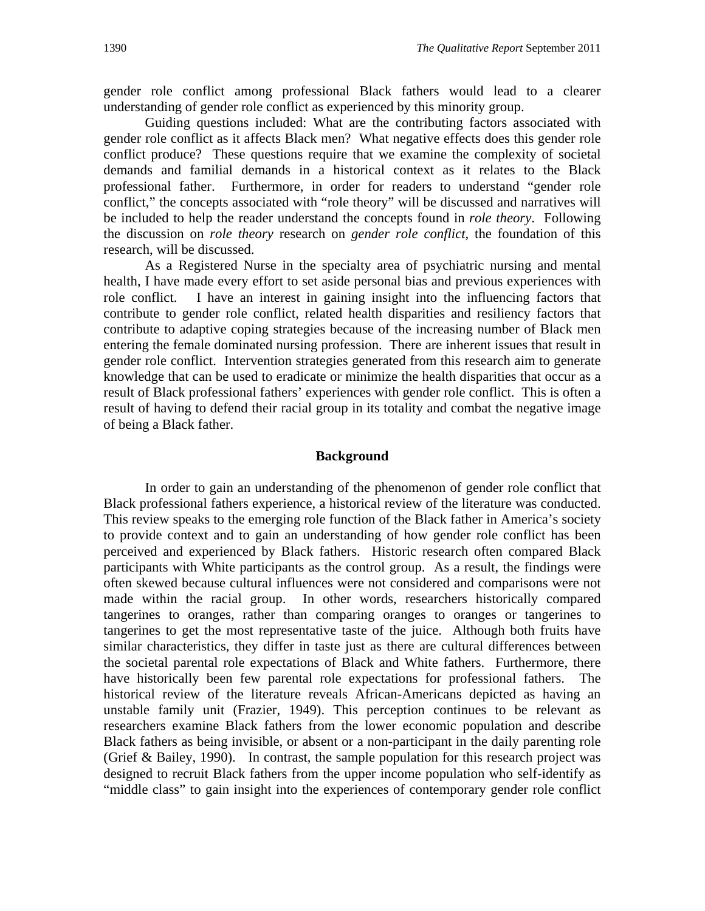gender role conflict among professional Black fathers would lead to a clearer understanding of gender role conflict as experienced by this minority group.

Guiding questions included: What are the contributing factors associated with gender role conflict as it affects Black men? What negative effects does this gender role conflict produce? These questions require that we examine the complexity of societal demands and familial demands in a historical context as it relates to the Black professional father. Furthermore, in order for readers to understand "gender role conflict," the concepts associated with "role theory" will be discussed and narratives will be included to help the reader understand the concepts found in *role theory*. Following the discussion on *role theory* research on *gender role conflict*, the foundation of this research, will be discussed.

As a Registered Nurse in the specialty area of psychiatric nursing and mental health, I have made every effort to set aside personal bias and previous experiences with role conflict. I have an interest in gaining insight into the influencing factors that contribute to gender role conflict, related health disparities and resiliency factors that contribute to adaptive coping strategies because of the increasing number of Black men entering the female dominated nursing profession. There are inherent issues that result in gender role conflict. Intervention strategies generated from this research aim to generate knowledge that can be used to eradicate or minimize the health disparities that occur as a result of Black professional fathers' experiences with gender role conflict. This is often a result of having to defend their racial group in its totality and combat the negative image of being a Black father.

#### **Background**

In order to gain an understanding of the phenomenon of gender role conflict that Black professional fathers experience, a historical review of the literature was conducted. This review speaks to the emerging role function of the Black father in America's society to provide context and to gain an understanding of how gender role conflict has been perceived and experienced by Black fathers. Historic research often compared Black participants with White participants as the control group. As a result, the findings were often skewed because cultural influences were not considered and comparisons were not made within the racial group. In other words, researchers historically compared tangerines to oranges, rather than comparing oranges to oranges or tangerines to tangerines to get the most representative taste of the juice. Although both fruits have similar characteristics, they differ in taste just as there are cultural differences between the societal parental role expectations of Black and White fathers. Furthermore, there have historically been few parental role expectations for professional fathers. The historical review of the literature reveals African-Americans depicted as having an unstable family unit (Frazier, 1949). This perception continues to be relevant as researchers examine Black fathers from the lower economic population and describe Black fathers as being invisible, or absent or a non-participant in the daily parenting role (Grief & Bailey, 1990). In contrast, the sample population for this research project was designed to recruit Black fathers from the upper income population who self-identify as "middle class" to gain insight into the experiences of contemporary gender role conflict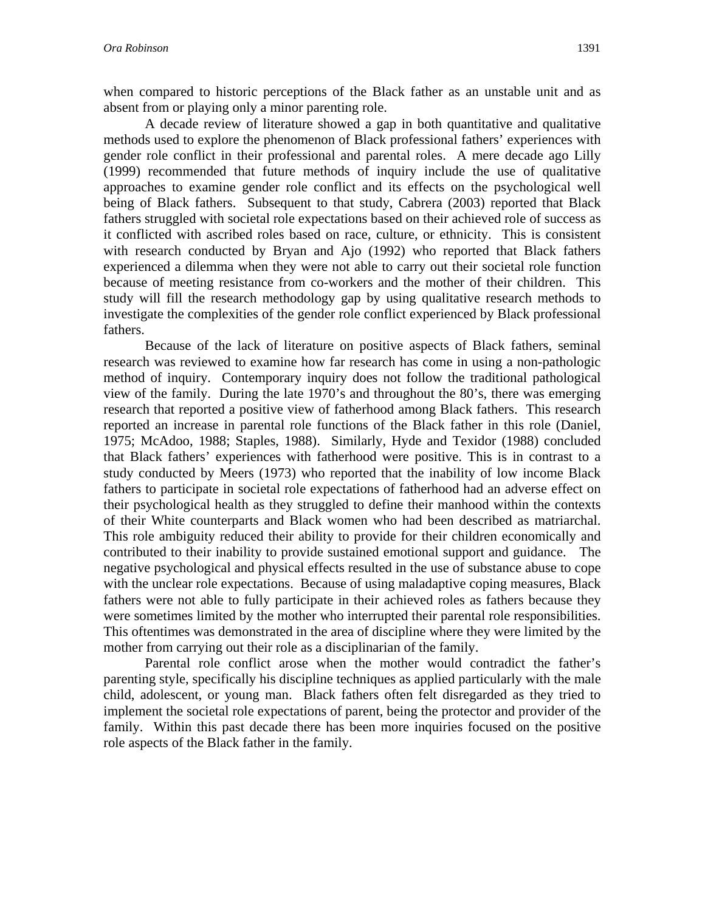when compared to historic perceptions of the Black father as an unstable unit and as absent from or playing only a minor parenting role.

A decade review of literature showed a gap in both quantitative and qualitative methods used to explore the phenomenon of Black professional fathers' experiences with gender role conflict in their professional and parental roles. A mere decade ago Lilly (1999) recommended that future methods of inquiry include the use of qualitative approaches to examine gender role conflict and its effects on the psychological well being of Black fathers. Subsequent to that study, Cabrera (2003) reported that Black fathers struggled with societal role expectations based on their achieved role of success as it conflicted with ascribed roles based on race, culture, or ethnicity. This is consistent with research conducted by Bryan and Ajo (1992) who reported that Black fathers experienced a dilemma when they were not able to carry out their societal role function because of meeting resistance from co-workers and the mother of their children. This study will fill the research methodology gap by using qualitative research methods to investigate the complexities of the gender role conflict experienced by Black professional fathers.

Because of the lack of literature on positive aspects of Black fathers, seminal research was reviewed to examine how far research has come in using a non-pathologic method of inquiry. Contemporary inquiry does not follow the traditional pathological view of the family. During the late 1970's and throughout the 80's, there was emerging research that reported a positive view of fatherhood among Black fathers. This research reported an increase in parental role functions of the Black father in this role (Daniel, 1975; McAdoo, 1988; Staples, 1988). Similarly, Hyde and Texidor (1988) concluded that Black fathers' experiences with fatherhood were positive. This is in contrast to a study conducted by Meers (1973) who reported that the inability of low income Black fathers to participate in societal role expectations of fatherhood had an adverse effect on their psychological health as they struggled to define their manhood within the contexts of their White counterparts and Black women who had been described as matriarchal. This role ambiguity reduced their ability to provide for their children economically and contributed to their inability to provide sustained emotional support and guidance. The negative psychological and physical effects resulted in the use of substance abuse to cope with the unclear role expectations. Because of using maladaptive coping measures, Black fathers were not able to fully participate in their achieved roles as fathers because they were sometimes limited by the mother who interrupted their parental role responsibilities. This oftentimes was demonstrated in the area of discipline where they were limited by the mother from carrying out their role as a disciplinarian of the family.

Parental role conflict arose when the mother would contradict the father's parenting style, specifically his discipline techniques as applied particularly with the male child, adolescent, or young man. Black fathers often felt disregarded as they tried to implement the societal role expectations of parent, being the protector and provider of the family. Within this past decade there has been more inquiries focused on the positive role aspects of the Black father in the family.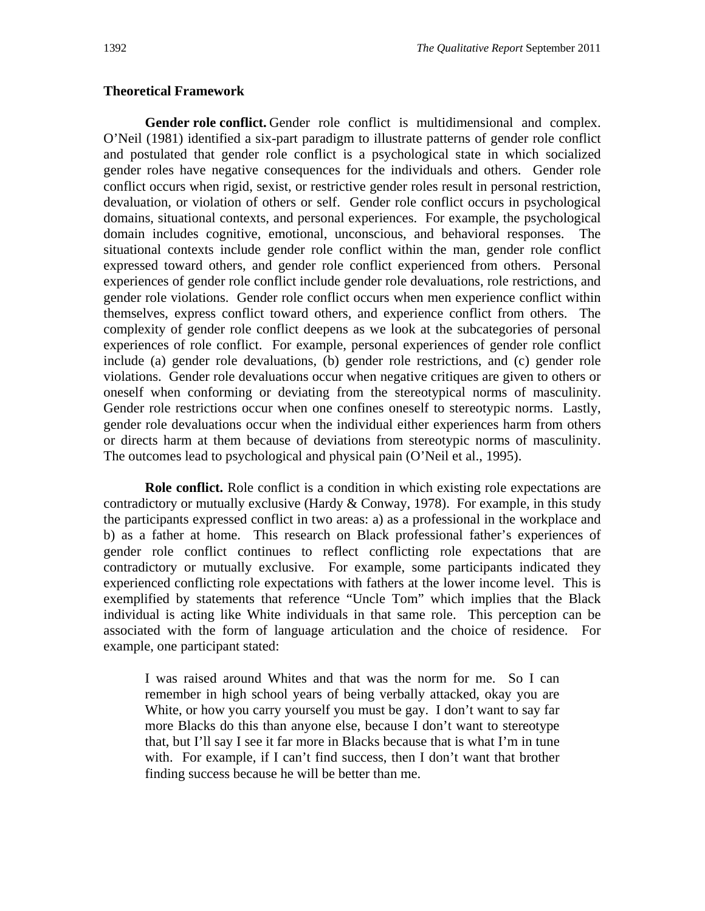### **Theoretical Framework**

**Gender role conflict.** Gender role conflict is multidimensional and complex. O'Neil (1981) identified a six-part paradigm to illustrate patterns of gender role conflict and postulated that gender role conflict is a psychological state in which socialized gender roles have negative consequences for the individuals and others. Gender role conflict occurs when rigid, sexist, or restrictive gender roles result in personal restriction, devaluation, or violation of others or self. Gender role conflict occurs in psychological domains, situational contexts, and personal experiences. For example, the psychological domain includes cognitive, emotional, unconscious, and behavioral responses. The situational contexts include gender role conflict within the man, gender role conflict expressed toward others, and gender role conflict experienced from others. Personal experiences of gender role conflict include gender role devaluations, role restrictions, and gender role violations. Gender role conflict occurs when men experience conflict within themselves, express conflict toward others, and experience conflict from others. The complexity of gender role conflict deepens as we look at the subcategories of personal experiences of role conflict. For example, personal experiences of gender role conflict include (a) gender role devaluations, (b) gender role restrictions, and (c) gender role violations. Gender role devaluations occur when negative critiques are given to others or oneself when conforming or deviating from the stereotypical norms of masculinity. Gender role restrictions occur when one confines oneself to stereotypic norms. Lastly, gender role devaluations occur when the individual either experiences harm from others or directs harm at them because of deviations from stereotypic norms of masculinity. The outcomes lead to psychological and physical pain (O'Neil et al., 1995).

**Role conflict.** Role conflict is a condition in which existing role expectations are contradictory or mutually exclusive (Hardy  $& Conway, 1978$ ). For example, in this study the participants expressed conflict in two areas: a) as a professional in the workplace and b) as a father at home. This research on Black professional father's experiences of gender role conflict continues to reflect conflicting role expectations that are contradictory or mutually exclusive. For example, some participants indicated they experienced conflicting role expectations with fathers at the lower income level. This is exemplified by statements that reference "Uncle Tom" which implies that the Black individual is acting like White individuals in that same role. This perception can be associated with the form of language articulation and the choice of residence. For example, one participant stated:

I was raised around Whites and that was the norm for me. So I can remember in high school years of being verbally attacked, okay you are White, or how you carry yourself you must be gay. I don't want to say far more Blacks do this than anyone else, because I don't want to stereotype that, but I'll say I see it far more in Blacks because that is what I'm in tune with. For example, if I can't find success, then I don't want that brother finding success because he will be better than me.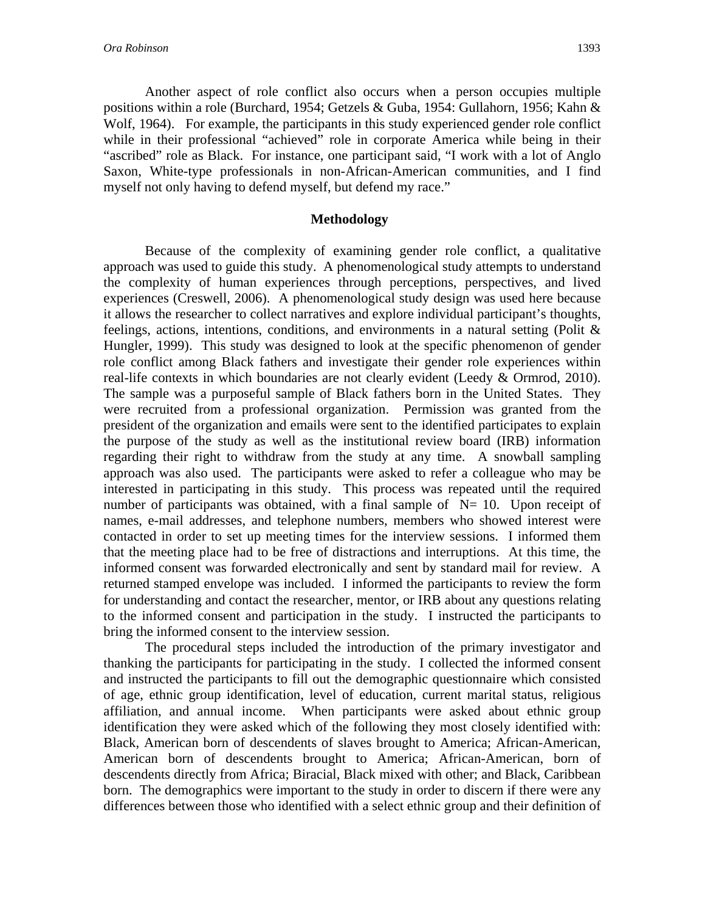Another aspect of role conflict also occurs when a person occupies multiple positions within a role (Burchard, 1954; Getzels & Guba, 1954: Gullahorn, 1956; Kahn & Wolf, 1964). For example, the participants in this study experienced gender role conflict while in their professional "achieved" role in corporate America while being in their "ascribed" role as Black. For instance, one participant said, "I work with a lot of Anglo Saxon, White-type professionals in non-African-American communities, and I find myself not only having to defend myself, but defend my race."

#### **Methodology**

Because of the complexity of examining gender role conflict, a qualitative approach was used to guide this study. A phenomenological study attempts to understand the complexity of human experiences through perceptions, perspectives, and lived experiences (Creswell, 2006). A phenomenological study design was used here because it allows the researcher to collect narratives and explore individual participant's thoughts, feelings, actions, intentions, conditions, and environments in a natural setting (Polit & Hungler, 1999). This study was designed to look at the specific phenomenon of gender role conflict among Black fathers and investigate their gender role experiences within real-life contexts in which boundaries are not clearly evident (Leedy & Ormrod, 2010). The sample was a purposeful sample of Black fathers born in the United States. They were recruited from a professional organization. Permission was granted from the president of the organization and emails were sent to the identified participates to explain the purpose of the study as well as the institutional review board (IRB) information regarding their right to withdraw from the study at any time. A snowball sampling approach was also used. The participants were asked to refer a colleague who may be interested in participating in this study. This process was repeated until the required number of participants was obtained, with a final sample of  $N= 10$ . Upon receipt of names, e-mail addresses, and telephone numbers, members who showed interest were contacted in order to set up meeting times for the interview sessions. I informed them that the meeting place had to be free of distractions and interruptions. At this time, the informed consent was forwarded electronically and sent by standard mail for review. A returned stamped envelope was included. I informed the participants to review the form for understanding and contact the researcher, mentor, or IRB about any questions relating to the informed consent and participation in the study. I instructed the participants to bring the informed consent to the interview session.

The procedural steps included the introduction of the primary investigator and thanking the participants for participating in the study. I collected the informed consent and instructed the participants to fill out the demographic questionnaire which consisted of age, ethnic group identification, level of education, current marital status, religious affiliation, and annual income. When participants were asked about ethnic group identification they were asked which of the following they most closely identified with: Black, American born of descendents of slaves brought to America; African-American, American born of descendents brought to America; African-American, born of descendents directly from Africa; Biracial, Black mixed with other; and Black, Caribbean born. The demographics were important to the study in order to discern if there were any differences between those who identified with a select ethnic group and their definition of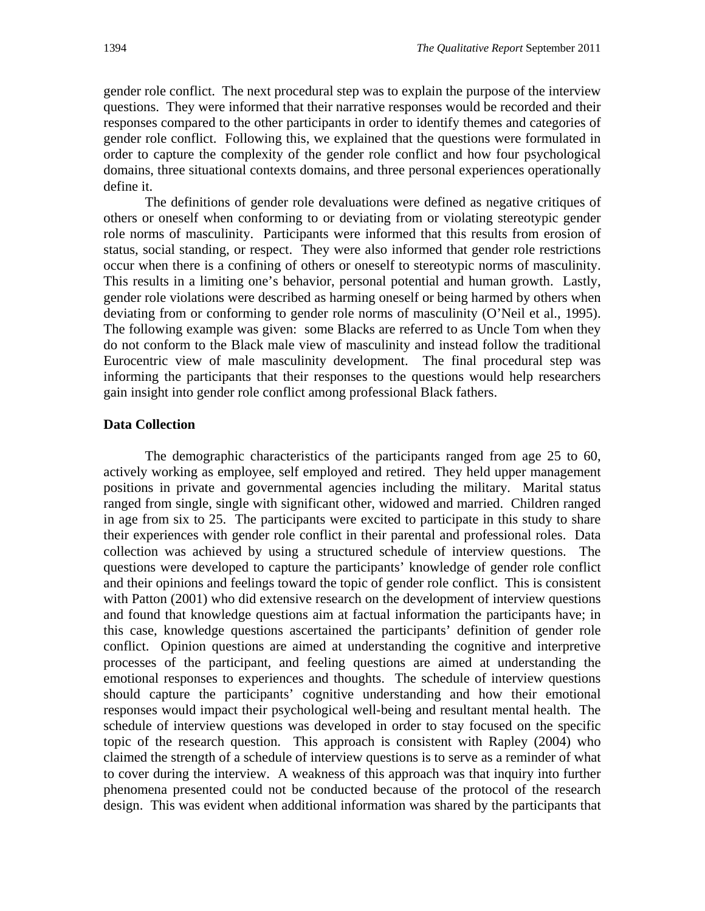gender role conflict. The next procedural step was to explain the purpose of the interview questions. They were informed that their narrative responses would be recorded and their responses compared to the other participants in order to identify themes and categories of gender role conflict. Following this, we explained that the questions were formulated in order to capture the complexity of the gender role conflict and how four psychological domains, three situational contexts domains, and three personal experiences operationally define it.

The definitions of gender role devaluations were defined as negative critiques of others or oneself when conforming to or deviating from or violating stereotypic gender role norms of masculinity. Participants were informed that this results from erosion of status, social standing, or respect. They were also informed that gender role restrictions occur when there is a confining of others or oneself to stereotypic norms of masculinity. This results in a limiting one's behavior, personal potential and human growth. Lastly, gender role violations were described as harming oneself or being harmed by others when deviating from or conforming to gender role norms of masculinity (O'Neil et al., 1995). The following example was given: some Blacks are referred to as Uncle Tom when they do not conform to the Black male view of masculinity and instead follow the traditional Eurocentric view of male masculinity development. The final procedural step was informing the participants that their responses to the questions would help researchers gain insight into gender role conflict among professional Black fathers.

### **Data Collection**

The demographic characteristics of the participants ranged from age 25 to 60, actively working as employee, self employed and retired. They held upper management positions in private and governmental agencies including the military. Marital status ranged from single, single with significant other, widowed and married. Children ranged in age from six to 25. The participants were excited to participate in this study to share their experiences with gender role conflict in their parental and professional roles. Data collection was achieved by using a structured schedule of interview questions. The questions were developed to capture the participants' knowledge of gender role conflict and their opinions and feelings toward the topic of gender role conflict. This is consistent with Patton (2001) who did extensive research on the development of interview questions and found that knowledge questions aim at factual information the participants have; in this case, knowledge questions ascertained the participants' definition of gender role conflict. Opinion questions are aimed at understanding the cognitive and interpretive processes of the participant, and feeling questions are aimed at understanding the emotional responses to experiences and thoughts. The schedule of interview questions should capture the participants' cognitive understanding and how their emotional responses would impact their psychological well-being and resultant mental health. The schedule of interview questions was developed in order to stay focused on the specific topic of the research question. This approach is consistent with Rapley (2004) who claimed the strength of a schedule of interview questions is to serve as a reminder of what to cover during the interview. A weakness of this approach was that inquiry into further phenomena presented could not be conducted because of the protocol of the research design. This was evident when additional information was shared by the participants that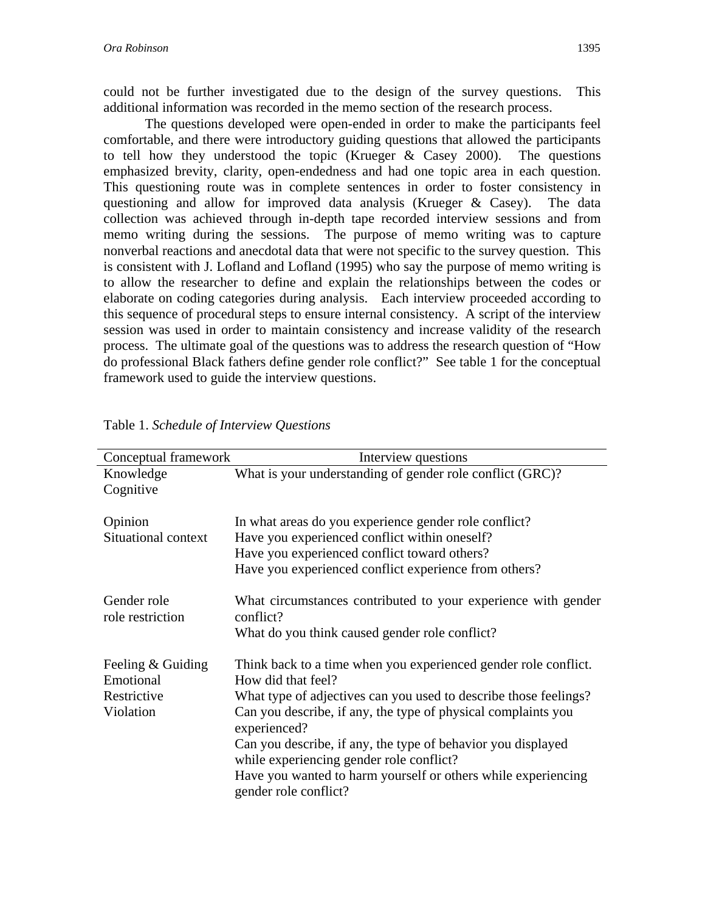could not be further investigated due to the design of the survey questions. This additional information was recorded in the memo section of the research process.

The questions developed were open-ended in order to make the participants feel comfortable, and there were introductory guiding questions that allowed the participants to tell how they understood the topic (Krueger & Casey 2000). The questions emphasized brevity, clarity, open-endedness and had one topic area in each question. This questioning route was in complete sentences in order to foster consistency in questioning and allow for improved data analysis (Krueger & Casey). The data collection was achieved through in-depth tape recorded interview sessions and from memo writing during the sessions. The purpose of memo writing was to capture nonverbal reactions and anecdotal data that were not specific to the survey question. This is consistent with J. Lofland and Lofland (1995) who say the purpose of memo writing is to allow the researcher to define and explain the relationships between the codes or elaborate on coding categories during analysis. Each interview proceeded according to this sequence of procedural steps to ensure internal consistency. A script of the interview session was used in order to maintain consistency and increase validity of the research process. The ultimate goal of the questions was to address the research question of "How do professional Black fathers define gender role conflict?" See table 1 for the conceptual framework used to guide the interview questions.

| Conceptual framework            | Interview questions                                                                                      |  |  |
|---------------------------------|----------------------------------------------------------------------------------------------------------|--|--|
| Knowledge                       | What is your understanding of gender role conflict (GRC)?                                                |  |  |
| Cognitive                       |                                                                                                          |  |  |
| Opinion                         | In what areas do you experience gender role conflict?                                                    |  |  |
| Situational context             | Have you experienced conflict within oneself?                                                            |  |  |
|                                 | Have you experienced conflict toward others?                                                             |  |  |
|                                 | Have you experienced conflict experience from others?                                                    |  |  |
| Gender role<br>role restriction | What circumstances contributed to your experience with gender<br>conflict?                               |  |  |
|                                 | What do you think caused gender role conflict?                                                           |  |  |
| Feeling & Guiding<br>Emotional  | Think back to a time when you experienced gender role conflict.<br>How did that feel?                    |  |  |
| Restrictive                     | What type of adjectives can you used to describe those feelings?                                         |  |  |
| Violation                       | Can you describe, if any, the type of physical complaints you<br>experienced?                            |  |  |
|                                 | Can you describe, if any, the type of behavior you displayed<br>while experiencing gender role conflict? |  |  |
|                                 | Have you wanted to harm yourself or others while experiencing<br>gender role conflict?                   |  |  |

Table 1. *Schedule of Interview Questions*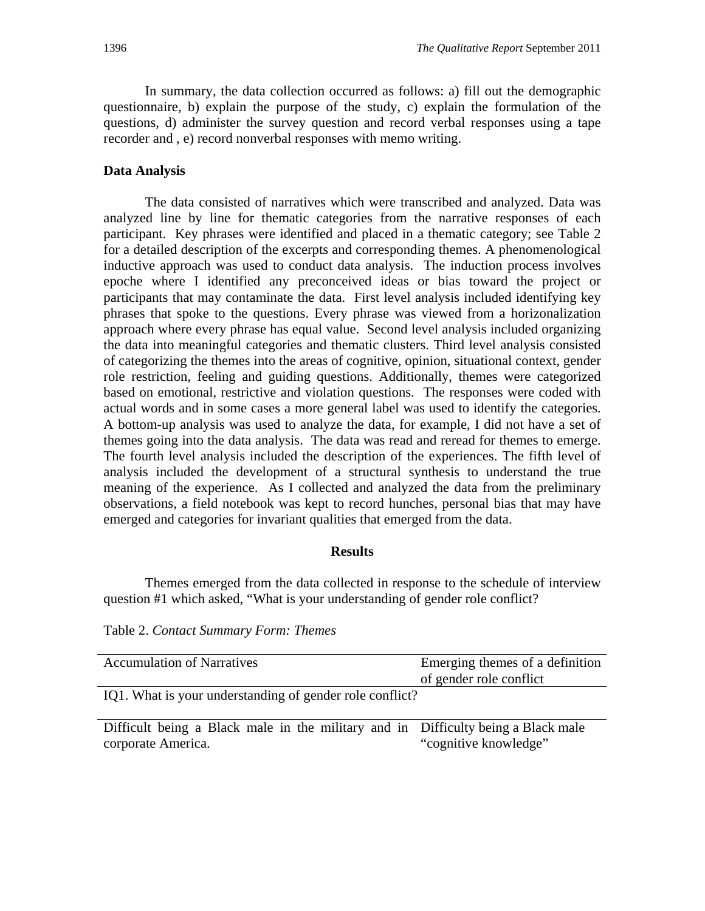In summary, the data collection occurred as follows: a) fill out the demographic questionnaire, b) explain the purpose of the study, c) explain the formulation of the questions, d) administer the survey question and record verbal responses using a tape recorder and , e) record nonverbal responses with memo writing.

## **Data Analysis**

The data consisted of narratives which were transcribed and analyzed. Data was analyzed line by line for thematic categories from the narrative responses of each participant. Key phrases were identified and placed in a thematic category; see Table 2 for a detailed description of the excerpts and corresponding themes. A phenomenological inductive approach was used to conduct data analysis. The induction process involves epoche where I identified any preconceived ideas or bias toward the project or participants that may contaminate the data. First level analysis included identifying key phrases that spoke to the questions. Every phrase was viewed from a horizonalization approach where every phrase has equal value. Second level analysis included organizing the data into meaningful categories and thematic clusters. Third level analysis consisted of categorizing the themes into the areas of cognitive, opinion, situational context, gender role restriction, feeling and guiding questions. Additionally, themes were categorized based on emotional, restrictive and violation questions. The responses were coded with actual words and in some cases a more general label was used to identify the categories. A bottom-up analysis was used to analyze the data, for example, I did not have a set of themes going into the data analysis. The data was read and reread for themes to emerge. The fourth level analysis included the description of the experiences. The fifth level of analysis included the development of a structural synthesis to understand the true meaning of the experience. As I collected and analyzed the data from the preliminary observations, a field notebook was kept to record hunches, personal bias that may have emerged and categories for invariant qualities that emerged from the data.

## **Results**

Themes emerged from the data collected in response to the schedule of interview question #1 which asked, "What is your understanding of gender role conflict?

Table 2. *Contact Summary Form: Themes* 

| <b>Accumulation of Narratives</b>                        | Emerging themes of a definition |
|----------------------------------------------------------|---------------------------------|
|                                                          |                                 |
|                                                          | of gender role conflict         |
|                                                          |                                 |
| IQ1. What is your understanding of gender role conflict? |                                 |

Difficult being a Black male in the military and in Difficulty being a Black male corporate America. "cognitive knowledge"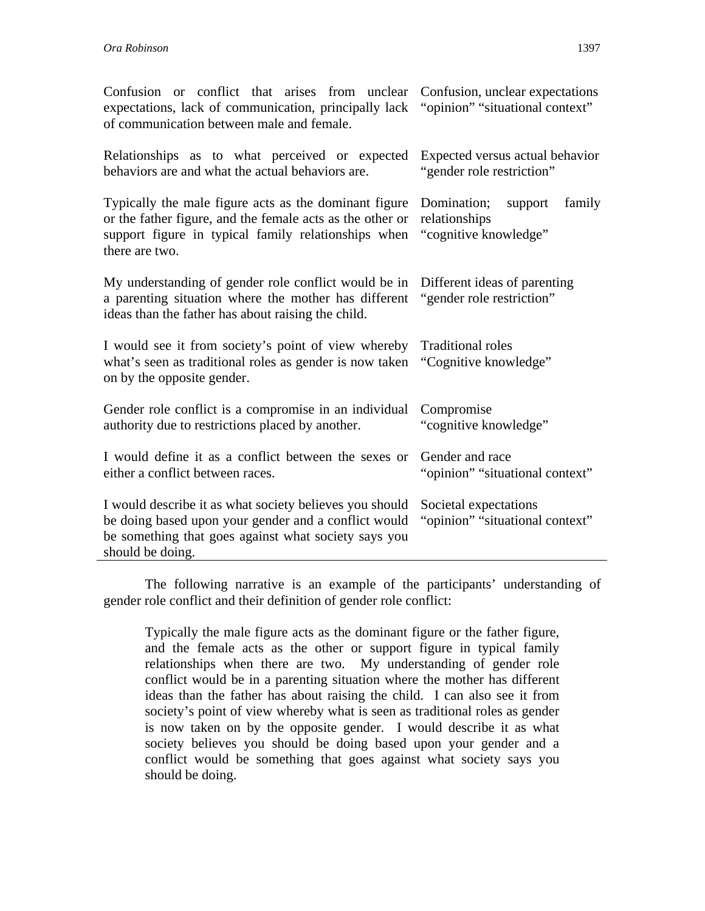| Confusion or conflict that arises from unclear Confusion, unclear expectations<br>expectations, lack of communication, principally lack "opinion" "situational context"<br>of communication between male and female. |                                                                            |  |
|----------------------------------------------------------------------------------------------------------------------------------------------------------------------------------------------------------------------|----------------------------------------------------------------------------|--|
| Relationships as to what perceived or expected<br>behaviors are and what the actual behaviors are.                                                                                                                   | Expected versus actual behavior<br>"gender role restriction"               |  |
| Typically the male figure acts as the dominant figure<br>or the father figure, and the female acts as the other or<br>support figure in typical family relationships when<br>there are two.                          | Domination;<br>family<br>support<br>relationships<br>"cognitive knowledge" |  |
| My understanding of gender role conflict would be in<br>a parenting situation where the mother has different<br>ideas than the father has about raising the child.                                                   | Different ideas of parenting<br>"gender role restriction"                  |  |
| I would see it from society's point of view whereby<br>what's seen as traditional roles as gender is now taken "Cognitive knowledge"<br>on by the opposite gender.                                                   | <b>Traditional roles</b>                                                   |  |
| Gender role conflict is a compromise in an individual<br>authority due to restrictions placed by another.                                                                                                            | Compromise<br>"cognitive knowledge"                                        |  |
| I would define it as a conflict between the sexes or<br>either a conflict between races.                                                                                                                             | Gender and race<br>"opinion" "situational context"                         |  |
| I would describe it as what society believes you should<br>be doing based upon your gender and a conflict would<br>be something that goes against what society says you<br>should be doing.                          | Societal expectations<br>"opinion" "situational context"                   |  |

The following narrative is an example of the participants' understanding of gender role conflict and their definition of gender role conflict:

Typically the male figure acts as the dominant figure or the father figure, and the female acts as the other or support figure in typical family relationships when there are two. My understanding of gender role conflict would be in a parenting situation where the mother has different ideas than the father has about raising the child. I can also see it from society's point of view whereby what is seen as traditional roles as gender is now taken on by the opposite gender. I would describe it as what society believes you should be doing based upon your gender and a conflict would be something that goes against what society says you should be doing.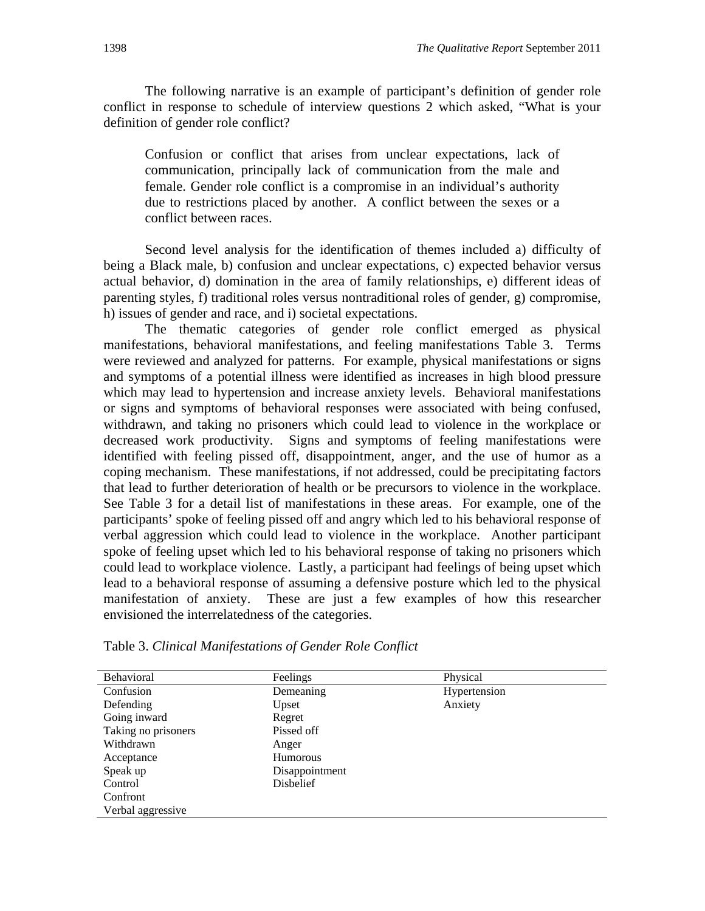The following narrative is an example of participant's definition of gender role conflict in response to schedule of interview questions 2 which asked, "What is your definition of gender role conflict?

Confusion or conflict that arises from unclear expectations, lack of communication, principally lack of communication from the male and female. Gender role conflict is a compromise in an individual's authority due to restrictions placed by another. A conflict between the sexes or a conflict between races.

Second level analysis for the identification of themes included a) difficulty of being a Black male, b) confusion and unclear expectations, c) expected behavior versus actual behavior, d) domination in the area of family relationships, e) different ideas of parenting styles, f) traditional roles versus nontraditional roles of gender, g) compromise, h) issues of gender and race, and i) societal expectations.

The thematic categories of gender role conflict emerged as physical manifestations, behavioral manifestations, and feeling manifestations Table 3. Terms were reviewed and analyzed for patterns. For example, physical manifestations or signs and symptoms of a potential illness were identified as increases in high blood pressure which may lead to hypertension and increase anxiety levels. Behavioral manifestations or signs and symptoms of behavioral responses were associated with being confused, withdrawn, and taking no prisoners which could lead to violence in the workplace or decreased work productivity. Signs and symptoms of feeling manifestations were identified with feeling pissed off, disappointment, anger, and the use of humor as a coping mechanism. These manifestations, if not addressed, could be precipitating factors that lead to further deterioration of health or be precursors to violence in the workplace. See Table 3 for a detail list of manifestations in these areas. For example, one of the participants' spoke of feeling pissed off and angry which led to his behavioral response of verbal aggression which could lead to violence in the workplace. Another participant spoke of feeling upset which led to his behavioral response of taking no prisoners which could lead to workplace violence. Lastly, a participant had feelings of being upset which lead to a behavioral response of assuming a defensive posture which led to the physical manifestation of anxiety. These are just a few examples of how this researcher envisioned the interrelatedness of the categories.

| Behavioral          | Feelings         | Physical     |  |
|---------------------|------------------|--------------|--|
| Confusion           | Demeaning        | Hypertension |  |
| Defending           | Upset            | Anxiety      |  |
| Going inward        | Regret           |              |  |
| Taking no prisoners | Pissed off       |              |  |
| Withdrawn           | Anger            |              |  |
| Acceptance          | <b>Humorous</b>  |              |  |
| Speak up            | Disappointment   |              |  |
| Control             | <b>Disbelief</b> |              |  |
| Confront            |                  |              |  |
| Verbal aggressive   |                  |              |  |
|                     |                  |              |  |

Table 3. *Clinical Manifestations of Gender Role Conflict*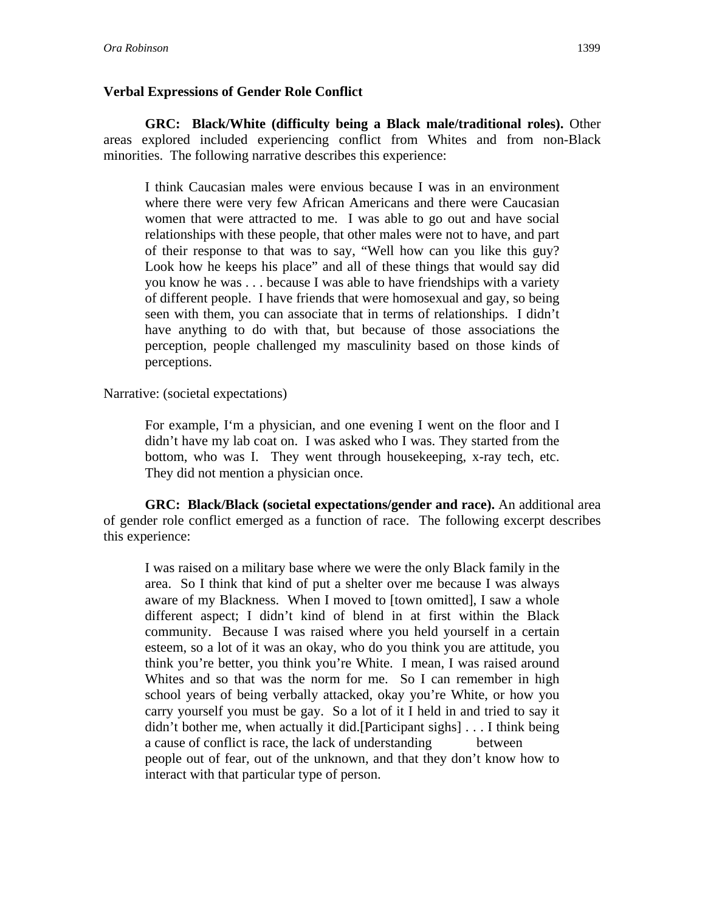## **Verbal Expressions of Gender Role Conflict**

**GRC: Black/White (difficulty being a Black male/traditional roles).** Other areas explored included experiencing conflict from Whites and from non-Black minorities. The following narrative describes this experience:

I think Caucasian males were envious because I was in an environment where there were very few African Americans and there were Caucasian women that were attracted to me. I was able to go out and have social relationships with these people, that other males were not to have, and part of their response to that was to say, "Well how can you like this guy? Look how he keeps his place" and all of these things that would say did you know he was . . . because I was able to have friendships with a variety of different people. I have friends that were homosexual and gay, so being seen with them, you can associate that in terms of relationships. I didn't have anything to do with that, but because of those associations the perception, people challenged my masculinity based on those kinds of perceptions.

Narrative: (societal expectations)

For example, I'm a physician, and one evening I went on the floor and I didn't have my lab coat on. I was asked who I was. They started from the bottom, who was I. They went through housekeeping, x-ray tech, etc. They did not mention a physician once.

**GRC: Black/Black (societal expectations/gender and race).** An additional area of gender role conflict emerged as a function of race. The following excerpt describes this experience:

I was raised on a military base where we were the only Black family in the area. So I think that kind of put a shelter over me because I was always aware of my Blackness. When I moved to [town omitted], I saw a whole different aspect; I didn't kind of blend in at first within the Black community. Because I was raised where you held yourself in a certain esteem, so a lot of it was an okay, who do you think you are attitude, you think you're better, you think you're White. I mean, I was raised around Whites and so that was the norm for me. So I can remember in high school years of being verbally attacked, okay you're White, or how you carry yourself you must be gay. So a lot of it I held in and tried to say it didn't bother me, when actually it did.[Participant sighs] . . . I think being a cause of conflict is race, the lack of understanding between people out of fear, out of the unknown, and that they don't know how to interact with that particular type of person.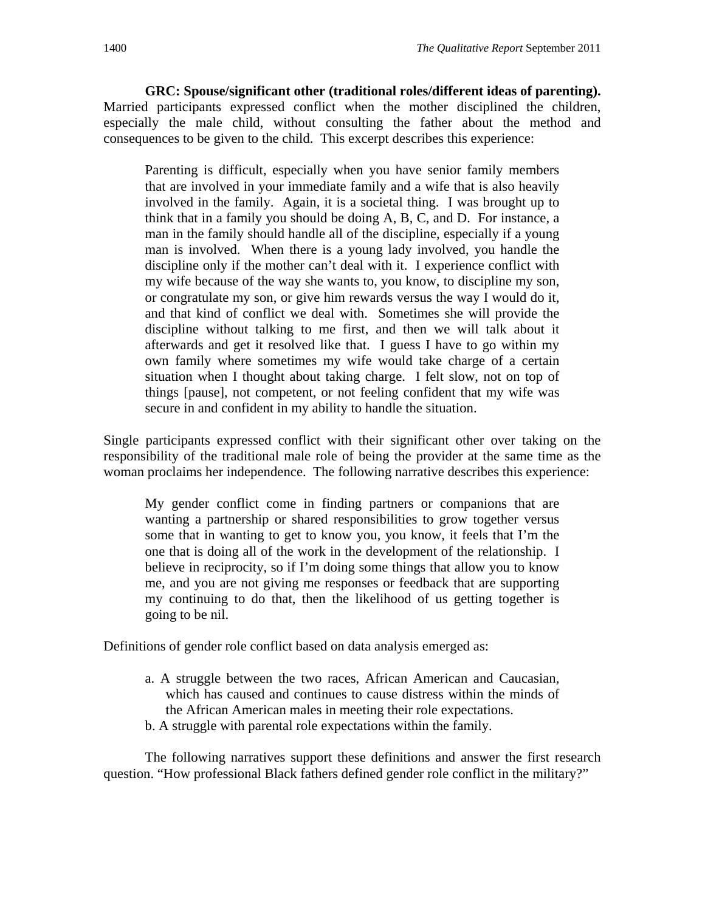**GRC: Spouse/significant other (traditional roles/different ideas of parenting).** Married participants expressed conflict when the mother disciplined the children, especially the male child, without consulting the father about the method and consequences to be given to the child. This excerpt describes this experience:

Parenting is difficult, especially when you have senior family members that are involved in your immediate family and a wife that is also heavily involved in the family. Again, it is a societal thing. I was brought up to think that in a family you should be doing A, B, C, and D. For instance, a man in the family should handle all of the discipline, especially if a young man is involved. When there is a young lady involved, you handle the discipline only if the mother can't deal with it. I experience conflict with my wife because of the way she wants to, you know, to discipline my son, or congratulate my son, or give him rewards versus the way I would do it, and that kind of conflict we deal with. Sometimes she will provide the discipline without talking to me first, and then we will talk about it afterwards and get it resolved like that. I guess I have to go within my own family where sometimes my wife would take charge of a certain situation when I thought about taking charge. I felt slow, not on top of things [pause], not competent, or not feeling confident that my wife was secure in and confident in my ability to handle the situation.

Single participants expressed conflict with their significant other over taking on the responsibility of the traditional male role of being the provider at the same time as the woman proclaims her independence. The following narrative describes this experience:

My gender conflict come in finding partners or companions that are wanting a partnership or shared responsibilities to grow together versus some that in wanting to get to know you, you know, it feels that I'm the one that is doing all of the work in the development of the relationship. I believe in reciprocity, so if I'm doing some things that allow you to know me, and you are not giving me responses or feedback that are supporting my continuing to do that, then the likelihood of us getting together is going to be nil.

Definitions of gender role conflict based on data analysis emerged as:

- a. A struggle between the two races, African American and Caucasian, which has caused and continues to cause distress within the minds of the African American males in meeting their role expectations.
- b. A struggle with parental role expectations within the family.

The following narratives support these definitions and answer the first research question. "How professional Black fathers defined gender role conflict in the military?"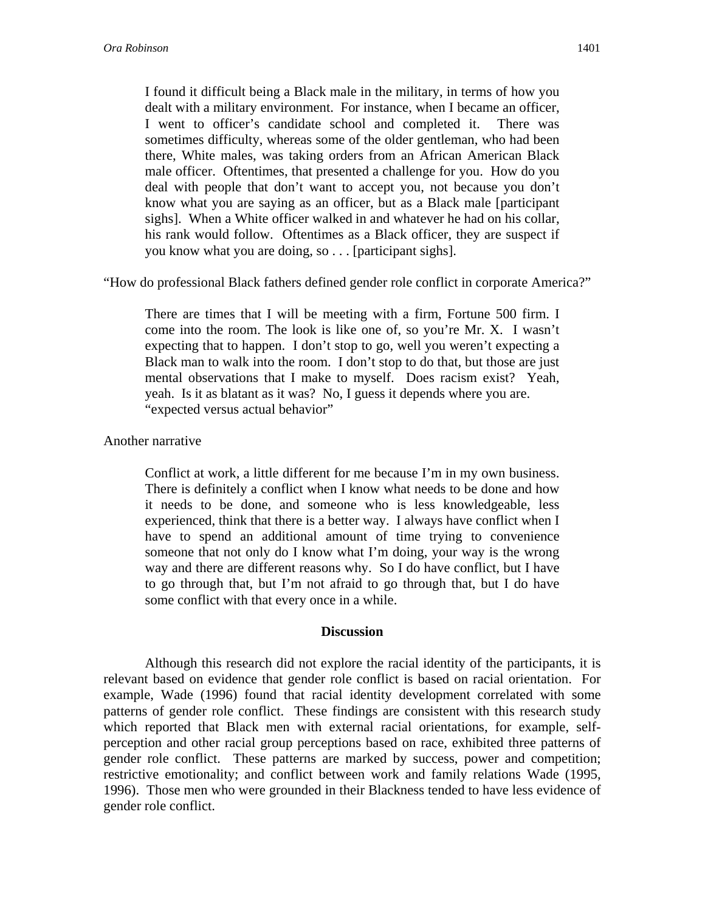I found it difficult being a Black male in the military, in terms of how you dealt with a military environment. For instance, when I became an officer, I went to officer's candidate school and completed it. There was sometimes difficulty, whereas some of the older gentleman, who had been there, White males, was taking orders from an African American Black male officer. Oftentimes, that presented a challenge for you. How do you deal with people that don't want to accept you, not because you don't know what you are saying as an officer, but as a Black male [participant sighs]. When a White officer walked in and whatever he had on his collar, his rank would follow. Oftentimes as a Black officer, they are suspect if you know what you are doing, so . . . [participant sighs].

"How do professional Black fathers defined gender role conflict in corporate America?"

There are times that I will be meeting with a firm, Fortune 500 firm. I come into the room. The look is like one of, so you're Mr. X. I wasn't expecting that to happen. I don't stop to go, well you weren't expecting a Black man to walk into the room. I don't stop to do that, but those are just mental observations that I make to myself. Does racism exist? Yeah, yeah. Is it as blatant as it was? No, I guess it depends where you are. "expected versus actual behavior"

### Another narrative

Conflict at work, a little different for me because I'm in my own business. There is definitely a conflict when I know what needs to be done and how it needs to be done, and someone who is less knowledgeable, less experienced, think that there is a better way. I always have conflict when I have to spend an additional amount of time trying to convenience someone that not only do I know what I'm doing, your way is the wrong way and there are different reasons why. So I do have conflict, but I have to go through that, but I'm not afraid to go through that, but I do have some conflict with that every once in a while.

### **Discussion**

Although this research did not explore the racial identity of the participants, it is relevant based on evidence that gender role conflict is based on racial orientation. For example, Wade (1996) found that racial identity development correlated with some patterns of gender role conflict. These findings are consistent with this research study which reported that Black men with external racial orientations, for example, selfperception and other racial group perceptions based on race, exhibited three patterns of gender role conflict. These patterns are marked by success, power and competition; restrictive emotionality; and conflict between work and family relations Wade (1995, 1996). Those men who were grounded in their Blackness tended to have less evidence of gender role conflict.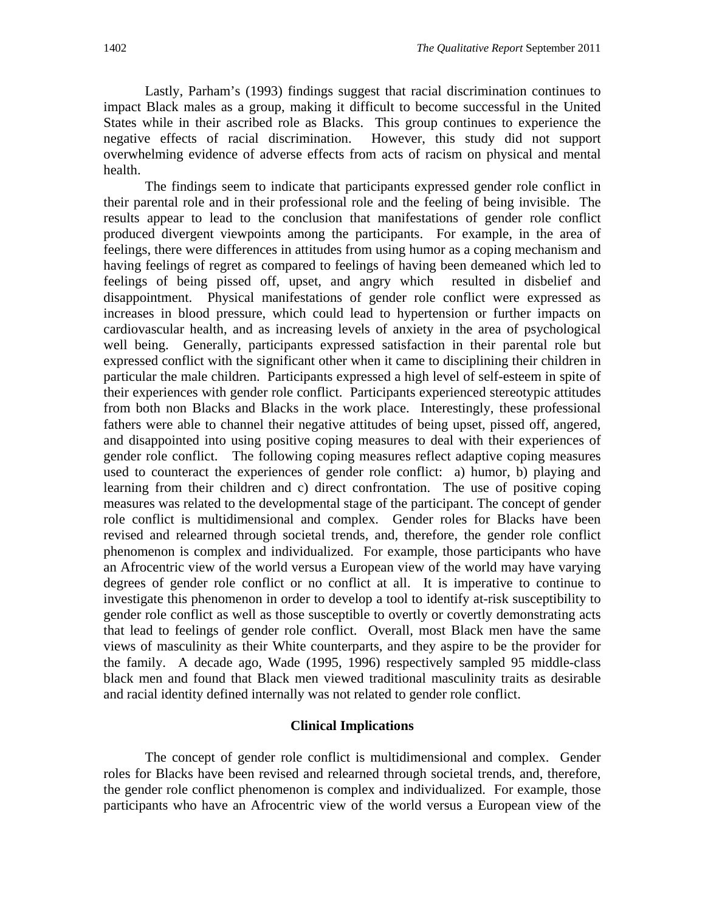Lastly, Parham's (1993) findings suggest that racial discrimination continues to impact Black males as a group, making it difficult to become successful in the United States while in their ascribed role as Blacks. This group continues to experience the negative effects of racial discrimination. However, this study did not support overwhelming evidence of adverse effects from acts of racism on physical and mental health.

The findings seem to indicate that participants expressed gender role conflict in their parental role and in their professional role and the feeling of being invisible. The results appear to lead to the conclusion that manifestations of gender role conflict produced divergent viewpoints among the participants. For example, in the area of feelings, there were differences in attitudes from using humor as a coping mechanism and having feelings of regret as compared to feelings of having been demeaned which led to feelings of being pissed off, upset, and angry which resulted in disbelief and disappointment. Physical manifestations of gender role conflict were expressed as increases in blood pressure, which could lead to hypertension or further impacts on cardiovascular health, and as increasing levels of anxiety in the area of psychological well being. Generally, participants expressed satisfaction in their parental role but expressed conflict with the significant other when it came to disciplining their children in particular the male children. Participants expressed a high level of self-esteem in spite of their experiences with gender role conflict. Participants experienced stereotypic attitudes from both non Blacks and Blacks in the work place. Interestingly, these professional fathers were able to channel their negative attitudes of being upset, pissed off, angered, and disappointed into using positive coping measures to deal with their experiences of gender role conflict. The following coping measures reflect adaptive coping measures used to counteract the experiences of gender role conflict: a) humor, b) playing and learning from their children and c) direct confrontation. The use of positive coping measures was related to the developmental stage of the participant. The concept of gender role conflict is multidimensional and complex. Gender roles for Blacks have been revised and relearned through societal trends, and, therefore, the gender role conflict phenomenon is complex and individualized. For example, those participants who have an Afrocentric view of the world versus a European view of the world may have varying degrees of gender role conflict or no conflict at all. It is imperative to continue to investigate this phenomenon in order to develop a tool to identify at-risk susceptibility to gender role conflict as well as those susceptible to overtly or covertly demonstrating acts that lead to feelings of gender role conflict. Overall, most Black men have the same views of masculinity as their White counterparts, and they aspire to be the provider for the family. A decade ago, Wade (1995, 1996) respectively sampled 95 middle-class black men and found that Black men viewed traditional masculinity traits as desirable and racial identity defined internally was not related to gender role conflict.

#### **Clinical Implications**

 The concept of gender role conflict is multidimensional and complex. Gender roles for Blacks have been revised and relearned through societal trends, and, therefore, the gender role conflict phenomenon is complex and individualized. For example, those participants who have an Afrocentric view of the world versus a European view of the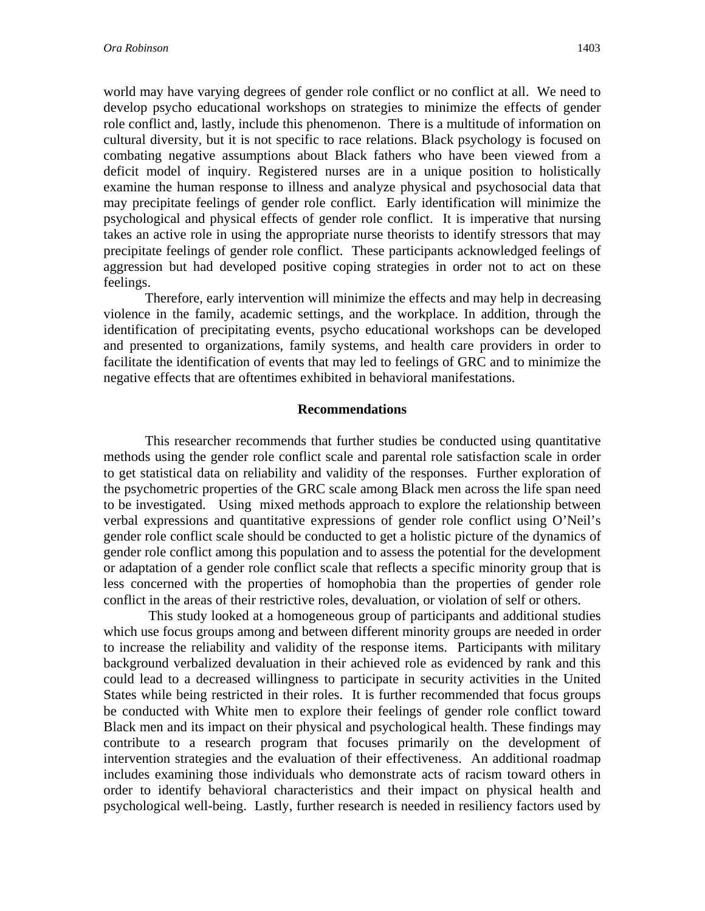world may have varying degrees of gender role conflict or no conflict at all. We need to develop psycho educational workshops on strategies to minimize the effects of gender role conflict and, lastly, include this phenomenon. There is a multitude of information on cultural diversity, but it is not specific to race relations. Black psychology is focused on combating negative assumptions about Black fathers who have been viewed from a deficit model of inquiry. Registered nurses are in a unique position to holistically examine the human response to illness and analyze physical and psychosocial data that may precipitate feelings of gender role conflict. Early identification will minimize the psychological and physical effects of gender role conflict. It is imperative that nursing takes an active role in using the appropriate nurse theorists to identify stressors that may precipitate feelings of gender role conflict. These participants acknowledged feelings of aggression but had developed positive coping strategies in order not to act on these feelings.

Therefore, early intervention will minimize the effects and may help in decreasing violence in the family, academic settings, and the workplace. In addition, through the identification of precipitating events, psycho educational workshops can be developed and presented to organizations, family systems, and health care providers in order to facilitate the identification of events that may led to feelings of GRC and to minimize the negative effects that are oftentimes exhibited in behavioral manifestations.

#### **Recommendations**

 This researcher recommends that further studies be conducted using quantitative methods using the gender role conflict scale and parental role satisfaction scale in order to get statistical data on reliability and validity of the responses. Further exploration of the psychometric properties of the GRC scale among Black men across the life span need to be investigated. Using mixed methods approach to explore the relationship between verbal expressions and quantitative expressions of gender role conflict using O'Neil's gender role conflict scale should be conducted to get a holistic picture of the dynamics of gender role conflict among this population and to assess the potential for the development or adaptation of a gender role conflict scale that reflects a specific minority group that is less concerned with the properties of homophobia than the properties of gender role conflict in the areas of their restrictive roles, devaluation, or violation of self or others.

 This study looked at a homogeneous group of participants and additional studies which use focus groups among and between different minority groups are needed in order to increase the reliability and validity of the response items. Participants with military background verbalized devaluation in their achieved role as evidenced by rank and this could lead to a decreased willingness to participate in security activities in the United States while being restricted in their roles. It is further recommended that focus groups be conducted with White men to explore their feelings of gender role conflict toward Black men and its impact on their physical and psychological health. These findings may contribute to a research program that focuses primarily on the development of intervention strategies and the evaluation of their effectiveness. An additional roadmap includes examining those individuals who demonstrate acts of racism toward others in order to identify behavioral characteristics and their impact on physical health and psychological well-being. Lastly, further research is needed in resiliency factors used by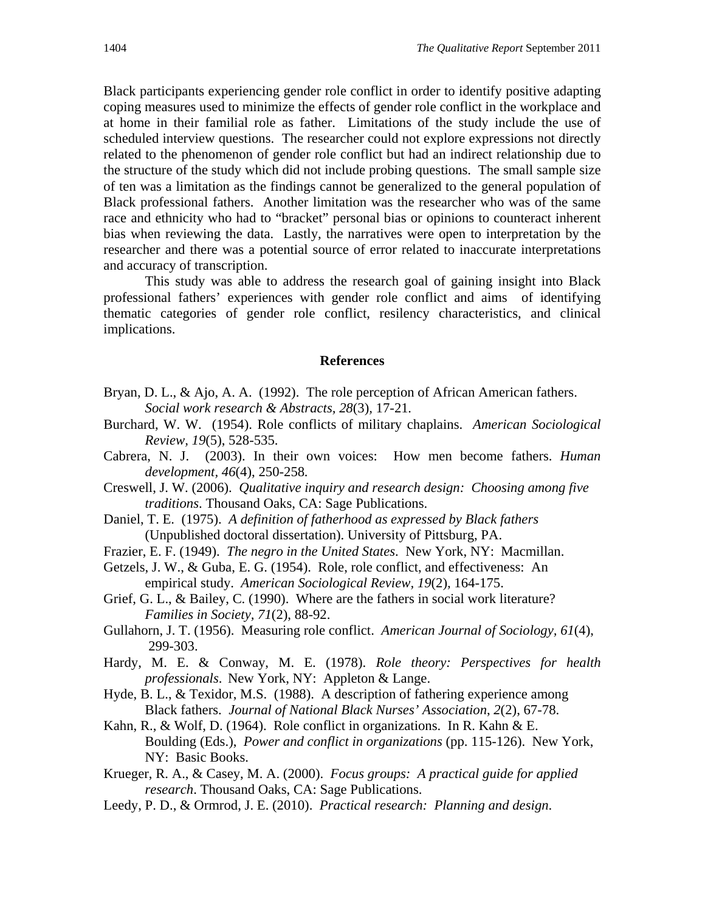Black participants experiencing gender role conflict in order to identify positive adapting coping measures used to minimize the effects of gender role conflict in the workplace and at home in their familial role as father. Limitations of the study include the use of scheduled interview questions. The researcher could not explore expressions not directly related to the phenomenon of gender role conflict but had an indirect relationship due to the structure of the study which did not include probing questions. The small sample size of ten was a limitation as the findings cannot be generalized to the general population of Black professional fathers. Another limitation was the researcher who was of the same race and ethnicity who had to "bracket" personal bias or opinions to counteract inherent bias when reviewing the data. Lastly, the narratives were open to interpretation by the researcher and there was a potential source of error related to inaccurate interpretations and accuracy of transcription.

 This study was able to address the research goal of gaining insight into Black professional fathers' experiences with gender role conflict and aims of identifying thematic categories of gender role conflict, resilency characteristics, and clinical implications.

#### **References**

- Bryan, D. L., & Ajo, A. A. (1992). The role perception of African American fathers.  *Social work research & Abstracts, 28*(3)*,* 17-21*.*
- Burchard, W. W. (1954). Role conflicts of military chaplains. *American Sociological Review, 19*(5), 528-535.
- Cabrera, N. J. (2003). In their own voices: How men become fathers. *Human development, 46*(4), 250-258*.*
- Creswell, J. W. (2006). *Qualitative inquiry and research design: Choosing among five traditions*. Thousand Oaks, CA: Sage Publications.
- Daniel, T. E. (1975). *A definition of fatherhood as expressed by Black fathers*  (Unpublished doctoral dissertation). University of Pittsburg, PA.
- Frazier, E. F. (1949). *The negro in the United States*. New York, NY: Macmillan.
- Getzels, J. W., & Guba, E. G. (1954). Role, role conflict, and effectiveness: An empirical study. *American Sociological Review, 19*(2)*,* 164-175.
- Grief, G. L., & Bailey, C. (1990). Where are the fathers in social work literature? *Families in Society, 71*(2), 88-92.
- Gullahorn, J. T. (1956). Measuring role conflict. *American Journal of Sociology, 61*(4), 299-303.
- Hardy, M. E. & Conway, M. E. (1978). *Role theory: Perspectives for health professionals*. New York, NY: Appleton & Lange.
- Hyde, B. L., & Texidor, M.S. (1988). A description of fathering experience among Black fathers. *Journal of National Black Nurses' Association*, *2*(2), 67-78.
- Kahn, R., & Wolf, D. (1964). Role conflict in organizations. In R. Kahn & E. Boulding (Eds.), *Power and conflict in organizations* (pp. 115-126).New York, NY: Basic Books.
- Krueger, R. A., & Casey, M. A. (2000). *Focus groups: A practical guide for applied research*. Thousand Oaks, CA: Sage Publications.
- Leedy, P. D., & Ormrod, J. E. (2010). *Practical research: Planning and design*.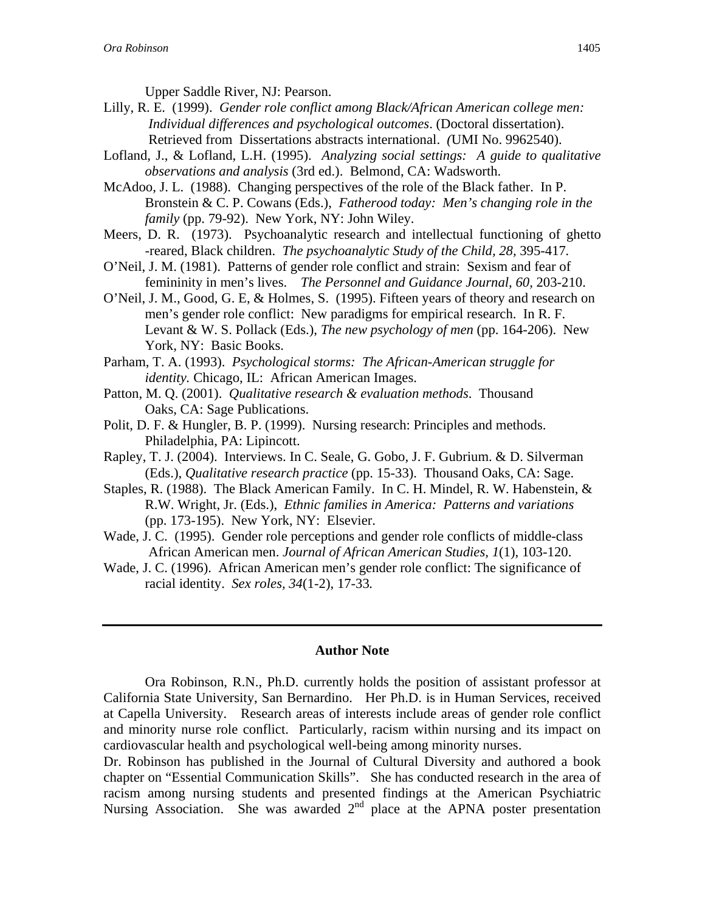Upper Saddle River, NJ: Pearson.

- Lilly, R. E. (1999). *Gender role conflict among Black/African American college men: Individual differences and psychological outcomes*. (Doctoral dissertation). Retrieved from Dissertations abstracts international. *(*UMI No. 9962540).
- Lofland, J., & Lofland, L.H. (1995). *Analyzing social settings: A guide to qualitative observations and analysis* (3rd ed.). Belmond, CA: Wadsworth.
- McAdoo, J. L. (1988). Changing perspectives of the role of the Black father. In P. Bronstein & C. P. Cowans (Eds.), *Fatherood today: Men's changing role in the family* (pp. 79-92). New York, NY: John Wiley.
- Meers, D. R. (1973). Psychoanalytic research and intellectual functioning of ghetto -reared, Black children. *The psychoanalytic Study of the Child, 28,* 395-417*.*
- O'Neil, J. M. (1981). Patterns of gender role conflict and strain: Sexism and fear of femininity in men's lives. *The Personnel and Guidance Journal, 60,* 203-210.
- O'Neil, J. M., Good, G. E, & Holmes, S. (1995). Fifteen years of theory and research on men's gender role conflict: New paradigms for empirical research. In R. F. Levant & W. S. Pollack (Eds.), *The new psychology of men* (pp. 164-206). New York, NY: Basic Books.

Parham, T. A. (1993). *Psychological storms: The African-American struggle for identity.* Chicago, IL: African American Images.

- Patton, M. Q. (2001). *Qualitative research & evaluation methods*. Thousand Oaks, CA: Sage Publications.
- Polit, D. F. & Hungler, B. P. (1999). Nursing research: Principles and methods. Philadelphia, PA: Lipincott.
- Rapley, T. J. (2004). Interviews. In C. Seale, G. Gobo, J. F. Gubrium. & D. Silverman (Eds.), *Qualitative research practice* (pp. 15-33). Thousand Oaks, CA: Sage.
- Staples, R. (1988). The Black American Family. In C. H. Mindel, R. W. Habenstein, & R.W. Wright, Jr. (Eds.), *Ethnic families in America: Patterns and variations*  (pp. 173-195). New York, NY: Elsevier.
- Wade, J. C. (1995). Gender role perceptions and gender role conflicts of middle-class African American men. *Journal of African American Studies, 1*(1), 103-120.
- Wade, J. C. (1996). African American men's gender role conflict: The significance of racial identity. *Sex roles, 34*(1-2), 17-33*.*

#### **Author Note**

Ora Robinson, R.N., Ph.D. currently holds the position of assistant professor at California State University, San Bernardino. Her Ph.D. is in Human Services, received at Capella University. Research areas of interests include areas of gender role conflict and minority nurse role conflict. Particularly, racism within nursing and its impact on cardiovascular health and psychological well-being among minority nurses.

Dr. Robinson has published in the Journal of Cultural Diversity and authored a book chapter on "Essential Communication Skills". She has conducted research in the area of racism among nursing students and presented findings at the American Psychiatric Nursing Association. She was awarded  $2<sup>nd</sup>$  place at the APNA poster presentation